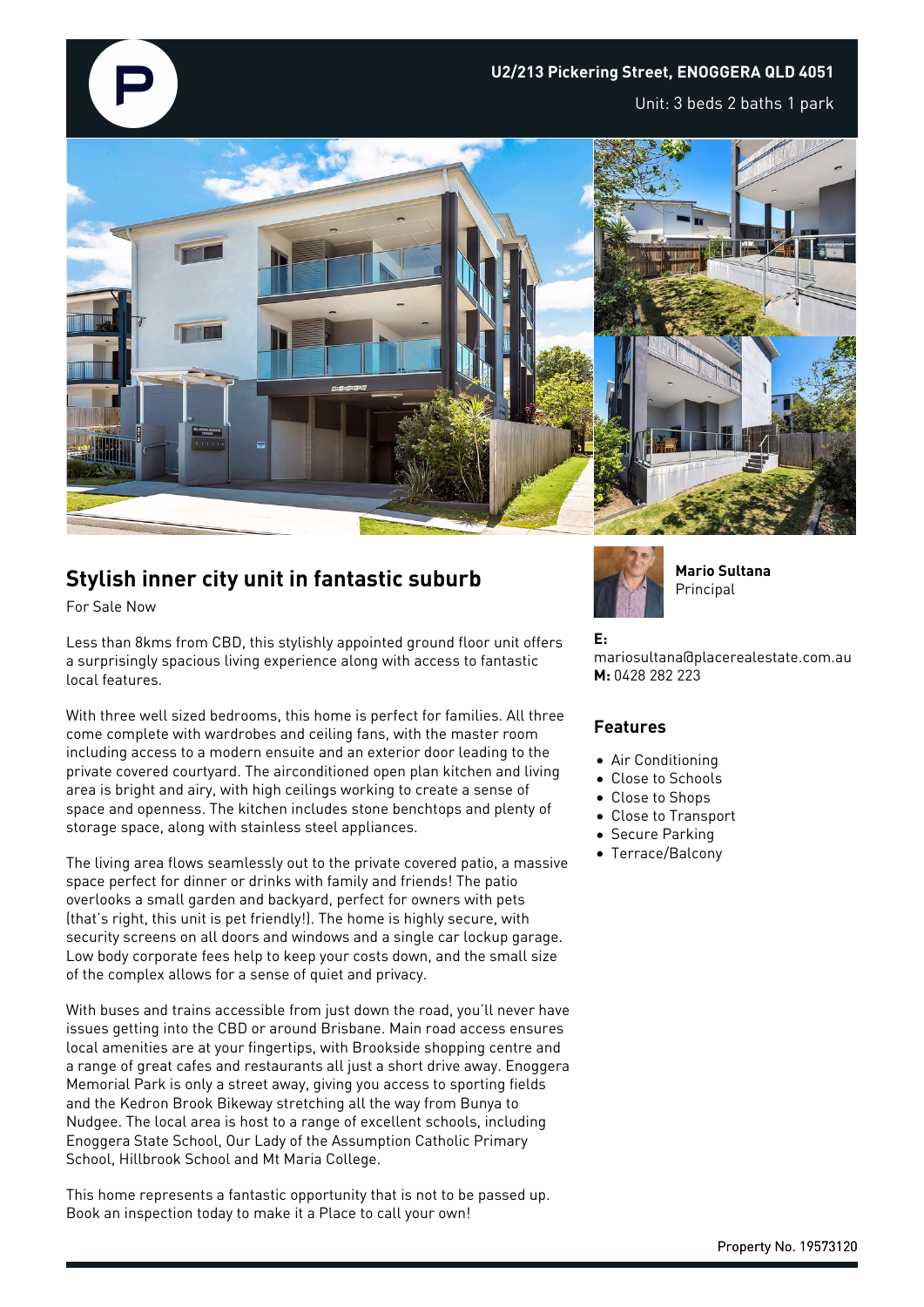

## **U2/213 Pickering Street, ENOGGERA QLD 4051**

Unit: 3 beds 2 baths 1 park



# **Stylish inner city unit in fantastic suburb**

For Sale Now

Less than 8kms from CBD, this stylishly appointed ground floor unit offers a surprisingly spacious living experience along with access to fantastic local features.

With three well sized bedrooms, this home is perfect for families. All three come complete with wardrobes and ceiling fans, with the master room including access to a modern ensuite and an exterior door leading to the private covered courtyard. The airconditioned open plan kitchen and living area is bright and airy, with high ceilings working to create a sense of space and openness. The kitchen includes stone benchtops and plenty of storage space, along with stainless steel appliances.

The living area flows seamlessly out to the private covered patio, a massive space perfect for dinner or drinks with family and friends! The patio overlooks a small garden and backyard, perfect for owners with pets (that's right, this unit is pet friendly!). The home is highly secure, with security screens on all doors and windows and a single car lockup garage. Low body corporate fees help to keep your costs down, and the small size of the complex allows for a sense of quiet and privacy.

With buses and trains accessible from just down the road, you'll never have issues getting into the CBD or around Brisbane. Main road access ensures local amenities are at your fingertips, with Brookside shopping centre and a range of great cafes and restaurants all just a short drive away. Enoggera Memorial Park is only a street away, giving you access to sporting fields and the Kedron Brook Bikeway stretching all the way from Bunya to Nudgee. The local area is host to a range of excellent schools, including Enoggera State School, Our Lady of the Assumption Catholic Primary School, Hillbrook School and Mt Maria College.

This home represents a fantastic opportunity that is not to be passed up. Book an inspection today to make it a Place to call your own!



**Mario Sultana Principal** 

#### **E:**

mariosultana@placerealestate.com.au **M:** 0428 282 223

### **Features**

- Air Conditioning
- Close to Schools
- Close to Shops
- Close to Transport
- **Secure Parking**
- Terrace/Balcony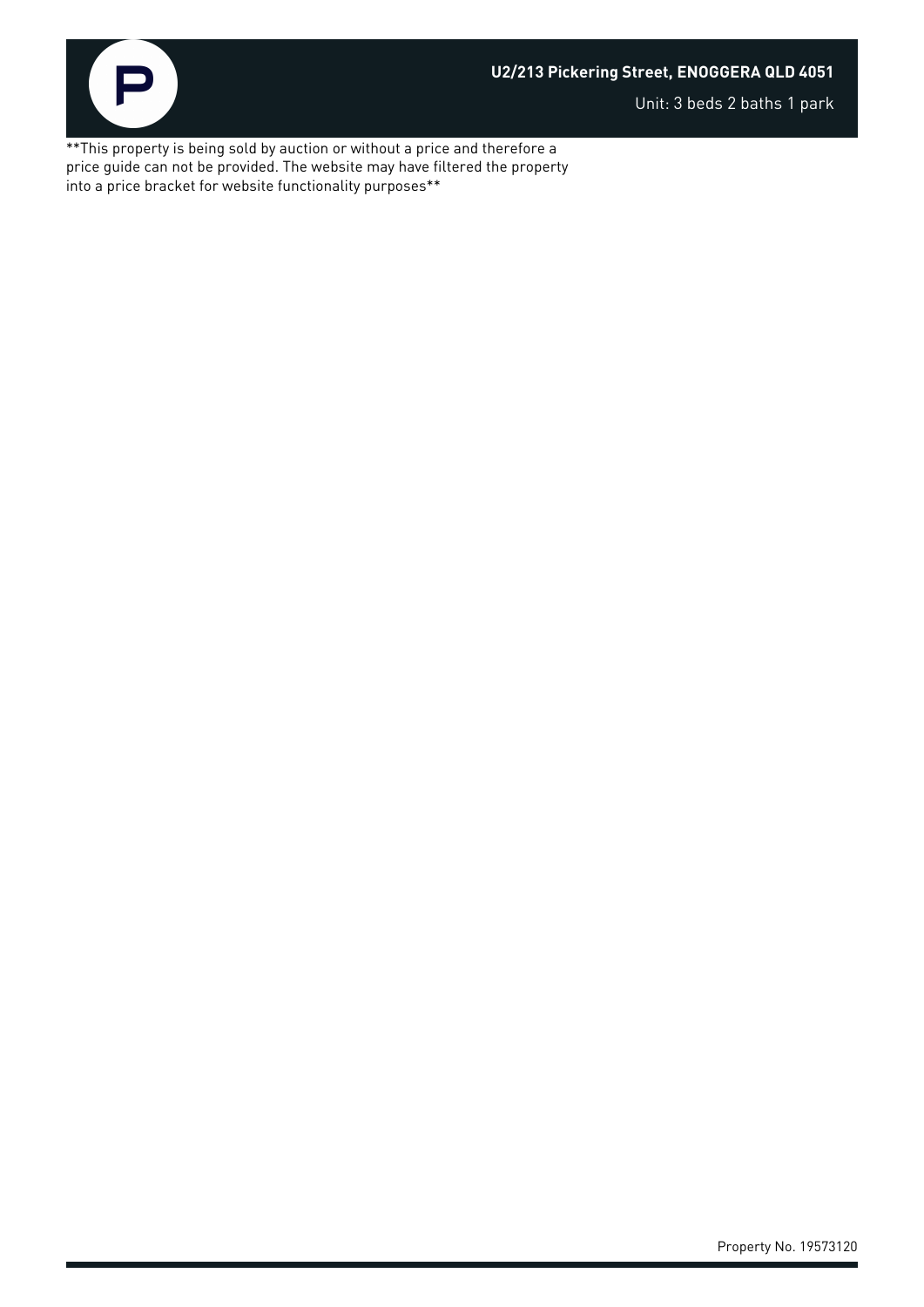

Unit: 3 beds 2 baths 1 park

\*\*This property is being sold by auction or without a price and therefore a price guide can not be provided. The website may have filtered the property into a price bracket for website functionality purposes\*\*